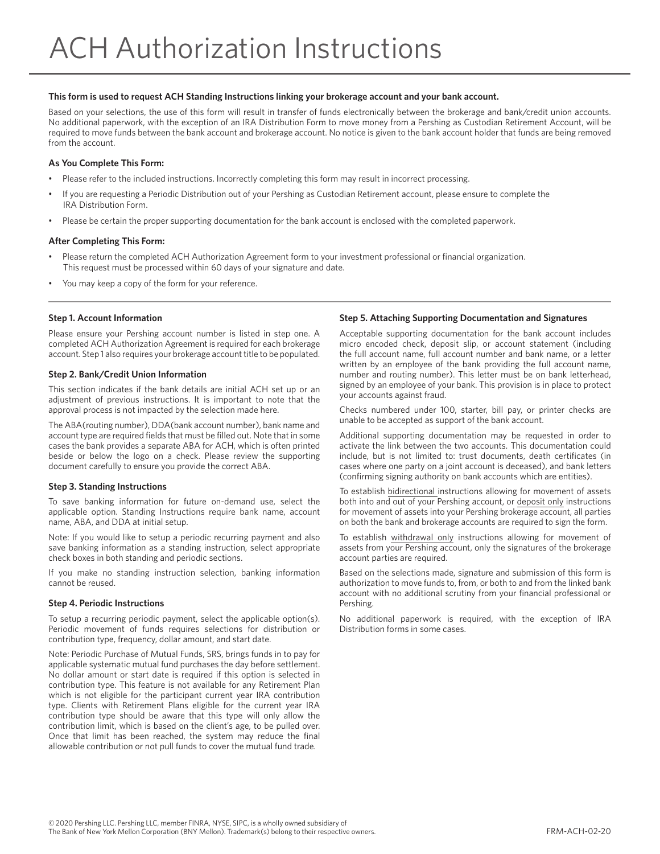## **This form is used to request ACH Standing Instructions linking your brokerage account and your bank account.**

Based on your selections, the use of this form will result in transfer of funds electronically between the brokerage and bank/credit union accounts. No additional paperwork, with the exception of an IRA Distribution Form to move money from a Pershing as Custodian Retirement Account, will be required to move funds between the bank account and brokerage account. No notice is given to the bank account holder that funds are being removed from the account.

## **As You Complete This Form:**

- Please refer to the included instructions. Incorrectly completing this form may result in incorrect processing.
- If you are requesting a Periodic Distribution out of your Pershing as Custodian Retirement account, please ensure to complete the IRA Distribution Form.
- Please be certain the proper supporting documentation for the bank account is enclosed with the completed paperwork.

### **After Completing This Form:**

- Please return the completed ACH Authorization Agreement form to your investment professional or financial organization. This request must be processed within 60 days of your signature and date.
- You may keep a copy of the form for your reference.

### **Step 1. Account Information**

Please ensure your Pershing account number is listed in step one. A completed ACH Authorization Agreement is required for each brokerage account. Step 1 also requires your brokerage account title to be populated.

### **Step 2. Bank/Credit Union Information**

This section indicates if the bank details are initial ACH set up or an adjustment of previous instructions. It is important to note that the approval process is not impacted by the selection made here.

The ABA(routing number), DDA(bank account number), bank name and account type are required fields that must be filled out. Note that in some cases the bank provides a separate ABA for ACH, which is often printed beside or below the logo on a check. Please review the supporting document carefully to ensure you provide the correct ABA.

### **Step 3. Standing Instructions**

To save banking information for future on-demand use, select the applicable option. Standing Instructions require bank name, account name, ABA, and DDA at initial setup.

Note: If you would like to setup a periodic recurring payment and also save banking information as a standing instruction, select appropriate check boxes in both standing and periodic sections.

If you make no standing instruction selection, banking information cannot be reused.

### **Step 4. Periodic Instructions**

To setup a recurring periodic payment, select the applicable option(s). Periodic movement of funds requires selections for distribution or contribution type, frequency, dollar amount, and start date.

Note: Periodic Purchase of Mutual Funds, SRS, brings funds in to pay for applicable systematic mutual fund purchases the day before settlement. No dollar amount or start date is required if this option is selected in contribution type. This feature is not available for any Retirement Plan which is not eligible for the participant current year IRA contribution type. Clients with Retirement Plans eligible for the current year IRA contribution type should be aware that this type will only allow the contribution limit, which is based on the client's age, to be pulled over. Once that limit has been reached, the system may reduce the final allowable contribution or not pull funds to cover the mutual fund trade.

## **Step 5. Attaching Supporting Documentation and Signatures**

Acceptable supporting documentation for the bank account includes micro encoded check, deposit slip, or account statement (including the full account name, full account number and bank name, or a letter written by an employee of the bank providing the full account name, number and routing number). This letter must be on bank letterhead, signed by an employee of your bank. This provision is in place to protect your accounts against fraud.

Checks numbered under 100, starter, bill pay, or printer checks are unable to be accepted as support of the bank account.

Additional supporting documentation may be requested in order to activate the link between the two accounts. This documentation could include, but is not limited to: trust documents, death certificates (in cases where one party on a joint account is deceased), and bank letters (confirming signing authority on bank accounts which are entities).

To establish bidirectional instructions allowing for movement of assets both into and out of your Pershing account, or deposit only instructions for movement of assets into your Pershing brokerage account, all parties on both the bank and brokerage accounts are required to sign the form.

To establish withdrawal only instructions allowing for movement of assets from your Pershing account, only the signatures of the brokerage account parties are required.

Based on the selections made, signature and submission of this form is authorization to move funds to, from, or both to and from the linked bank account with no additional scrutiny from your financial professional or Pershing.

No additional paperwork is required, with the exception of IRA Distribution forms in some cases.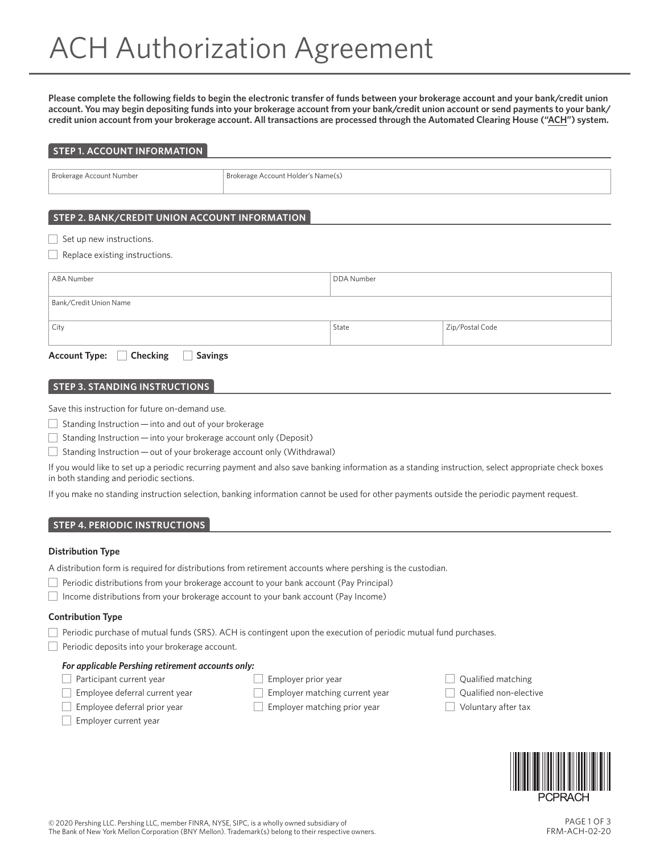**Please complete the following fields to begin the electronic transfer of funds between your brokerage account and your bank/credit union account. You may begin depositing funds into your brokerage account from your bank/credit union account or send payments to your bank/ credit union account from your brokerage account. All transactions are processed through the Automated Clearing House ("ACH") system.**

| <b>STEP 1. ACCOUNT INFORMATION</b> |  |
|------------------------------------|--|
|                                    |  |

Brokerage Account Number Brokerage Account Holder's Name(s)

# **STEP 2. BANK/CREDIT UNION ACCOUNT INFORMATION**

 $\overline{\phantom{a}}$  Set up new instructions.

|  |  |  | Replace existing instructions. |
|--|--|--|--------------------------------|
|--|--|--|--------------------------------|

| ABA Number                                              | DDA Number |                 |  |
|---------------------------------------------------------|------------|-----------------|--|
| Bank/Credit Union Name                                  |            |                 |  |
|                                                         |            |                 |  |
| City                                                    | State      | Zip/Postal Code |  |
| Account Type: □ Checking<br><b>Savings</b><br>$\sim 10$ |            |                 |  |

# **STEP 3. STANDING INSTRUCTIONS**

Save this instruction for future on-demand use.

 $\Box$  Standing Instruction — into and out of your brokerage

 $\Box$  Standing Instruction  $-$  into your brokerage account only (Deposit)

Standing Instruction — out of your brokerage account only (Withdrawal)

If you would like to set up a periodic recurring payment and also save banking information as a standing instruction, select appropriate check boxes in both standing and periodic sections.

If you make no standing instruction selection, banking information cannot be used for other payments outside the periodic payment request.

# **STEP 4. PERIODIC INSTRUCTIONS**

## **Distribution Type**

A distribution form is required for distributions from retirement accounts where pershing is the custodian.

 $\Box$  Periodic distributions from your brokerage account to your bank account (Pay Principal)

Income distributions from your brokerage account to your bank account (Pay Income)

## **Contribution Type**

 $\Box$  Periodic purchase of mutual funds (SRS). ACH is contingent upon the execution of periodic mutual fund purchases.

 $\Box$  Periodic deposits into your brokerage account.

# *For applicable Pershing retirement accounts only:*

**Participant current year** 

- Employee deferral current year
- **Employee deferral prior year** 
	-
- Employer prior year
- Employer matching current year
- $\Box$  Employer matching prior year

Employer current year

- 
- Qualified matching

Qualified non-elective

Voluntary after tax

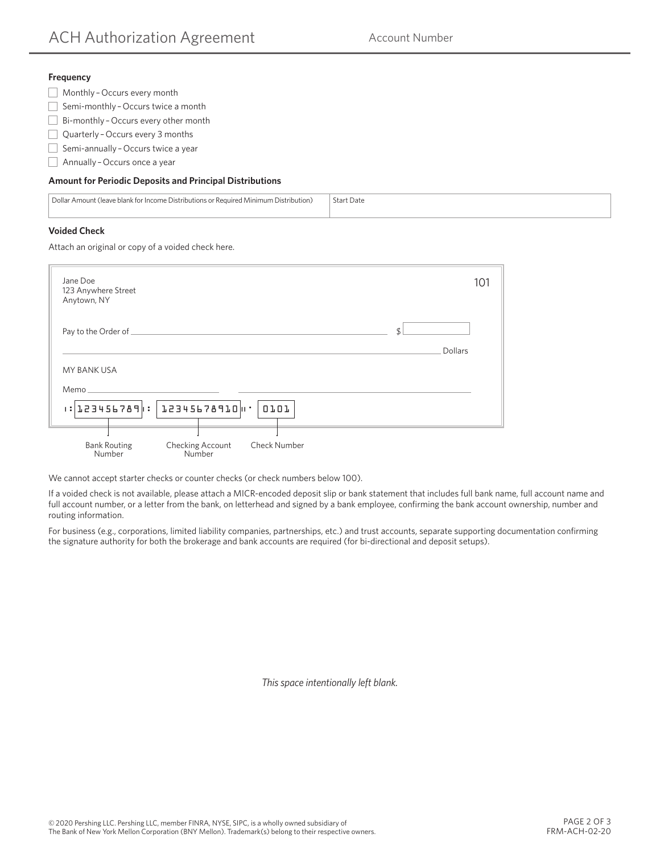## **Frequency**

- Monthly – Occurs every month
- Semi-monthly Occurs twice a month
- Bi-monthly – Occurs every other month
- Quarterly Occurs every 3 months
- Semi-annually Occurs twice a year
- $\Box$  Annually Occurs once a year

# **Amount for Periodic Deposits and Principal Distributions**

| Dollar Amount (leave blank for Income Distributions or Required Minimum Distribution) | -Start Date |
|---------------------------------------------------------------------------------------|-------------|
|                                                                                       |             |

# **Voided Check**

Attach an original or copy of a voided check here.

| Jane Doe<br>123 Anywhere Street<br>Anytown, NY                                            | 101 |
|-------------------------------------------------------------------------------------------|-----|
| \$<br>Dollars                                                                             |     |
| MY BANK USA<br>Memo                                                                       |     |
| : 123456789  :   12345678910    '<br>0101                                                 |     |
| <b>Check Number</b><br><b>Bank Routing</b><br><b>Checking Account</b><br>Numher<br>Number |     |

We cannot accept starter checks or counter checks (or check numbers below 100).

If a voided check is not available, please attach a MICR-encoded deposit slip or bank statement that includes full bank name, full account name and full account number, or a letter from the bank, on letterhead and signed by a bank employee, confirming the bank account ownership, number and routing information.

For business (e.g., corporations, limited liability companies, partnerships, etc.) and trust accounts, separate supporting documentation confirming the signature authority for both the brokerage and bank accounts are required (for bi-directional and deposit setups).

*This space intentionally left blank.*